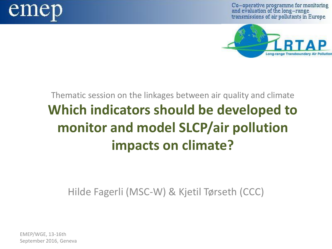

Co-operative programme for monitoring and evaluation of the long-range transmissions of air pollutants in Europe



## Thematic session on the linkages between air quality and climate **Which indicators should be developed to monitor and model SLCP/air pollution impacts on climate?**

Hilde Fagerli (MSC-W) & Kjetil Tørseth (CCC)

EMEP/WGE, 13-16th September 2016, Geneva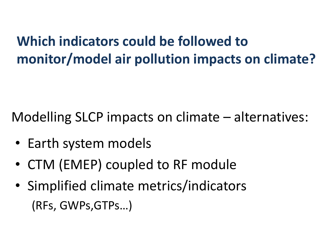# **Which indicators could be followed to monitor/model air pollution impacts on climate?**

Modelling SLCP impacts on climate – alternatives:

- Earth system models
- CTM (EMEP) coupled to RF module
- Simplified climate metrics/indicators (RFs, GWPs,GTPs…)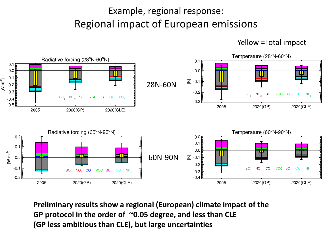### Example, regional response: Regional impact of European emissions



Yellow =Total impact

**Preliminary results show a regional (European) climate impact of the GP protocol in the order of ~0.05 degree, and less than CLE (GP less ambitious than CLE), but large uncertainties**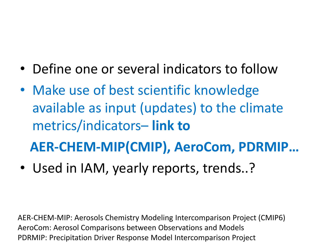- Define one or several indicators to follow
- Make use of best scientific knowledge available as input (updates) to the climate metrics/indicators– **link to**

 **AER-CHEM-MIP(CMIP), AeroCom, PDRMIP…**

• Used in IAM, yearly reports, trends..?

AER-CHEM-MIP: Aerosols Chemistry Modeling Intercomparison Project (CMIP6) AeroCom: Aerosol Comparisons between Observations and Models PDRMIP: Precipitation Driver Response Model Intercomparison Project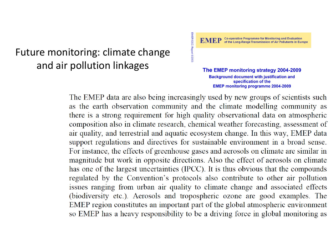### Future monitoring: climate change and air pollution linkages

The EMEP monitoring strategy 2004-2009 **Background document with justification and** specification of the **EMEP monitoring programme 2004-2009** 

The EMEP data are also being increasingly used by new groups of scientists such as the earth observation community and the climate modelling community as there is a strong requirement for high quality observational data on atmospheric composition also in climate research, chemical weather forecasting, assessment of air quality, and terrestrial and aquatic ecosystem change. In this way, EMEP data support regulations and directives for sustainable environment in a broad sense. For instance, the effects of greenhouse gases and aerosols on climate are similar in magnitude but work in opposite directions. Also the effect of aerosols on climate has one of the largest uncertainties (IPCC). It is thus obvious that the compounds regulated by the Convention's protocols also contribute to other air pollution issues ranging from urban air quality to climate change and associated effects (biodiversity etc.). Aerosols and tropospheric ozone are good examples. The EMEP region constitutes an important part of the global atmospheric environment so EMEP has a heavy responsibility to be a driving force in global monitoring as

EMEP/CCC-Report 9/2003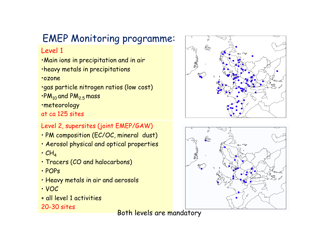### EMEP Monitoring programme:

#### Level 1

•Main ions in precipitation and in air

•heavy metals in precipitations

#### •ozone

•gas particle nitrogen ratios (low cost)  $\cdot$ PM<sub>10</sub> and PM<sub>2.5</sub> mass

•meteorology

at ca 125 sites

#### Level 2, supersites (joint EMEP/GAW)

- PM composition (EC/OC, mineral dust)
- Aerosol physical and optical properties
- $\cdot$  CH<sub>A</sub>
- Tracers (CO and halocarbons)
- POPs
- Heavy metals in air and aerosols
- VOC
- + all level 1 activities 20-30 sites

Both levels are mandatory



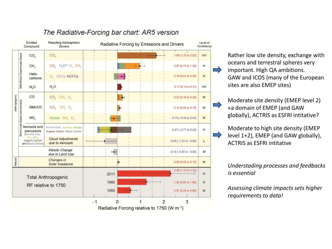

#### The Radiative-Forcing bar chart: AR5 version

Rather low site density, exchange with oceans and terrestral spheres very important. High QA ambitions. GAW and ICOS (many of the European sites are also EMEP sites)

Moderate site density (EMEP level 2) «a domain of EMEP (and GAW globally), ACTRIS as ESFRI intitative?

Moderate to high site density (EMEP level 1+2), EMEP (and GAW globally), ACTRIS as ESFRI intitative

*Understading processes and feedbacks is essential*

*Assessing climate impacts sets higher requirements to data!*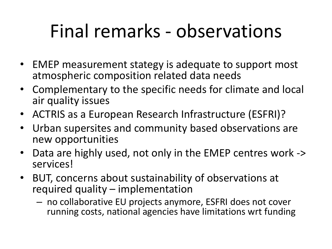# Final remarks - observations

- EMEP measurement stategy is adequate to support most atmospheric composition related data needs
- Complementary to the specific needs for climate and local air quality issues
- ACTRIS as a European Research Infrastructure (ESFRI)?
- Urban supersites and community based observations are new opportunities
- Data are highly used, not only in the EMEP centres work -> services!
- BUT, concerns about sustainability of observations at required quality – implementation
	- no collaborative EU projects anymore, ESFRI does not cover running costs, national agencies have limitations wrt funding